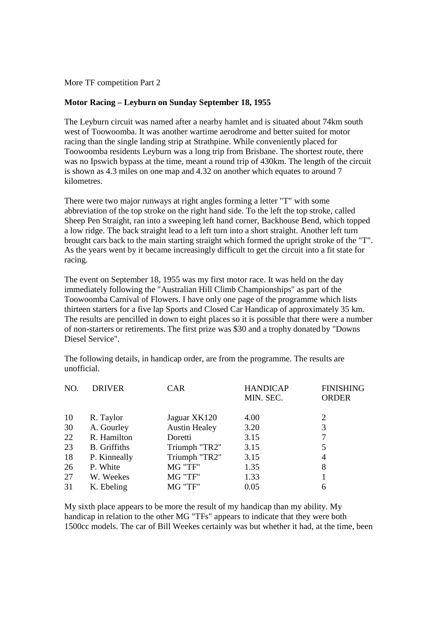More TF competition Part 2

# **Motor Racing – Leyburn on Sunday September 18, 1955**

The Leyburn circuit was named after a nearby hamlet and is situated about 74km south west of Toowoomba. It was another wartime aerodrome and better suited for motor racing than the single landing strip at Strathpine. While conveniently placed for Toowoomba residents Leyburn was a long trip from Brisbane. The shortest route, there was no Ipswich bypass at the time, meant a round trip of 430km. The length of the circuit is shown as 4.3 miles on one map and 4.32 on another which equates to around 7 kilometres.

There were two major runways at right angles forming a letter "T" with some abbreviation of the top stroke on the right hand side. To the left the top stroke, called Sheep Pen Straight, ran into a sweeping left hand corner, Backhouse Bend, which topped a low ridge. The back straight lead to a left turn into a short straight. Another left turn brought cars back to the main starting straight which formed the upright stroke of the "T". As the years went by it became increasingly difficult to get the circuit into a fit state for racing.

The event on September 18, 1955 was my first motor race. It was held on the day immediately following the "Australian Hill Climb Championships" as part of the Toowoomba Carnival of Flowers. I have only one page of the programme which lists thirteen starters for a five lap Sports and Closed Car Handicap of approximately 35 km. The results are pencilled in down to eight places so it is possible that there were a number of non-starters or retirements. The first prize was \$30 and a trophy donated by "Downs Diesel Service".

The following details, in handicap order, are from the programme. The results are unofficial.

| MIN. SEC.                                             | <b>FINISHING</b><br><b>ORDER</b> |
|-------------------------------------------------------|----------------------------------|
|                                                       |                                  |
| 10<br>R. Taylor<br>Jaguar XK120<br>4.00<br>2          |                                  |
| 3<br>30<br>A. Gourley<br><b>Austin Healey</b><br>3.20 |                                  |
| 22<br>7<br>R. Hamilton<br>3.15<br>Doretti             |                                  |
| 23<br>Triumph "TR2"<br><b>B.</b> Griffiths<br>3.15    |                                  |
| Triumph "TR2"<br>18<br>3.15<br>P. Kinneally<br>4      |                                  |
| MG "TF"<br>26<br>P. White<br>1.35<br>8                |                                  |
| MG "TF"<br>27<br>W. Weekes<br>1.33                    |                                  |
| 31<br>MG "TF"<br>0.05<br>K. Ebeling<br>6              |                                  |

My sixth place appears to be more the result of my handicap than my ability. My handicap in relation to the other MG "TFs" appears to indicate that they were both 1500cc models. The car of Bill Weekes certainly was but whether it had, at the time, been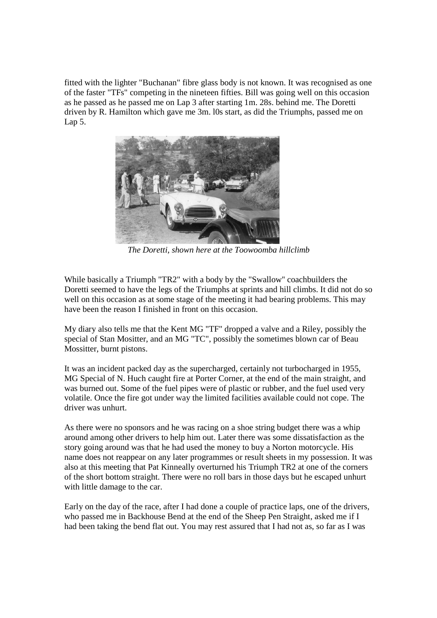fitted with the lighter "Buchanan" fibre glass body is not known. It was recognised as one of the faster "TFs" competing in the nineteen fifties. Bill was going well on this occasion as he passed as he passed me on Lap 3 after starting 1m. 28s. behind me. The Doretti driven by R. Hamilton which gave me 3m. l0s start, as did the Triumphs, passed me on Lap 5.



*The Doretti, shown here at the Toowoomba hillclimb*

While basically a Triumph "TR2" with a body by the "Swallow'' coachbuilders the Doretti seemed to have the legs of the Triumphs at sprints and hill climbs. It did not do so well on this occasion as at some stage of the meeting it had bearing problems. This may have been the reason I finished in front on this occasion.

My diary also tells me that the Kent MG "TF" dropped a valve and a Riley, possibly the special of Stan Mositter, and an MG "TC", possibly the sometimes blown car of Beau Mossitter, burnt pistons.

It was an incident packed day as the supercharged, certainly not turbocharged in 1955, MG Special of N. Huch caught fire at Porter Corner, at the end of the main straight, and was burned out. Some of the fuel pipes were of plastic or rubber, and the fuel used very volatile. Once the fire got under way the limited facilities available could not cope. The driver was unhurt.

As there were no sponsors and he was racing on a shoe string budget there was a whip around among other drivers to help him out. Later there was some dissatisfaction as the story going around was that he had used the money to buy a Norton motorcycle. His name does not reappear on any later programmes or result sheets in my possession. It was also at this meeting that Pat Kinneally overturned his Triumph TR2 at one of the corners of the short bottom straight. There were no roll bars in those days but he escaped unhurt with little damage to the car.

Early on the day of the race, after I had done a couple of practice laps, one of the drivers, who passed me in Backhouse Bend at the end of the Sheep Pen Straight, asked me if I had been taking the bend flat out. You may rest assured that I had not as, so far as I was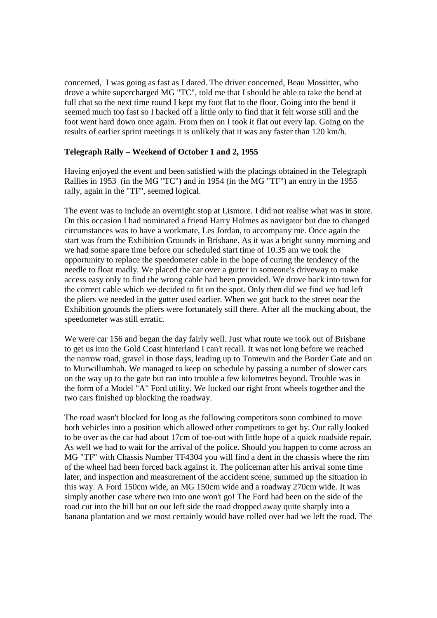concerned, I was going as fast as I dared. The driver concerned, Beau Mossitter, who drove a white supercharged MG "TC", told me that I should be able to take the bend at full chat so the next time round I kept my foot flat to the floor. Going into the bend it seemed much too fast so I backed off a little only to find that it felt worse still and the foot went hard down once again. From then on I took it flat out every lap. Going on the results of earlier sprint meetings it is unlikely that it was any faster than 120 km/h.

### **Telegraph Rally – Weekend of October 1 and 2, 1955**

Having enjoyed the event and been satisfied with the placings obtained in the Telegraph Rallies in 1953 (in the MG "TC") and in 1954 (in the MG "TF") an entry in the 1955 rally, again in the "TF", seemed logical.

The event was to include an overnight stop at Lismore. I did not realise what was in store. On this occasion I had nominated a friend Harry Holmes as navigator but due to changed circumstances was to have a workmate, Les Jordan, to accompany me. Once again the start was from the Exhibition Grounds in Brisbane. As it was a bright sunny morning and we had some spare time before our scheduled start time of 10.35 am we took the opportunity to replace the speedometer cable in the hope of curing the tendency of the needle to float madly. We placed the car over a gutter in someone's driveway to make access easy only to find the wrong cable had been provided. We drove back into town for the correct cable which we decided to fit on the spot. Only then did we find we had left the pliers we needed in the gutter used earlier. When we got back to the street near the Exhibition grounds the pliers were fortunately still there. After all the mucking about, the speedometer was still erratic.

We were car 156 and began the day fairly well. Just what route we took out of Brisbane to get us into the Gold Coast hinterland I can't recall. It was not long before we reached the narrow road, gravel in those days, leading up to Tomewin and the Border Gate and on to Murwillumbah. We managed to keep on schedule by passing a number of slower cars on the way up to the gate but ran into trouble a few kilometres beyond. Trouble was in the form of a Model "A" Ford utility. We locked our right front wheels together and the two cars finished up blocking the roadway.

The road wasn't blocked for long as the following competitors soon combined to move both vehicles into a position which allowed other competitors to get by. Our rally looked to be over as the car had about 17cm of toe-out with little hope of a quick roadside repair. As well we had to wait for the arrival of the police. Should you happen to come across an MG "TF" with Chassis Number TF4304 you will find a dent in the chassis where the rim of the wheel had been forced back against it. The policeman after his arrival some time later, and inspection and measurement of the accident scene, summed up the situation in this way. A Ford 150cm wide, an MG 150cm wide and a roadway 270cm wide. It was simply another case where two into one won't go! The Ford had been on the side of the road cut into the hill but on our left side the road dropped away quite sharply into a banana plantation and we most certainly would have rolled over had we left the road. The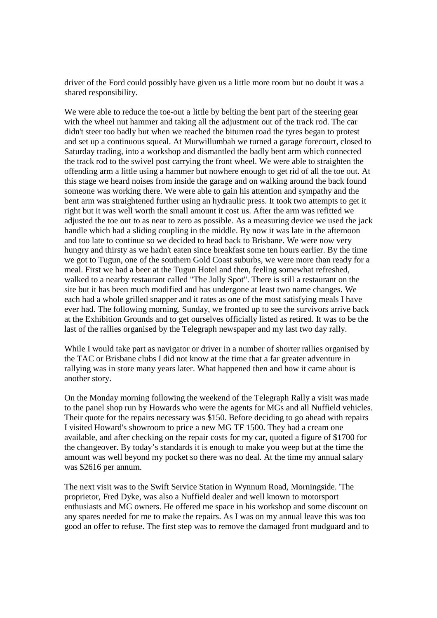driver of the Ford could possibly have given us a little more room but no doubt it was a shared responsibility.

We were able to reduce the toe-out a little by belting the bent part of the steering gear with the wheel nut hammer and taking all the adjustment out of the track rod. The car didn't steer too badly but when we reached the bitumen road the tyres began to protest and set up a continuous squeal. At Murwillumbah we turned a garage forecourt, closed to Saturday trading, into a workshop and dismantled the badly bent arm which connected the track rod to the swivel post carrying the front wheel. We were able to straighten the offending arm a little using a hammer but nowhere enough to get rid of all the toe out. At this stage we heard noises from inside the garage and on walking around the back found someone was working there. We were able to gain his attention and sympathy and the bent arm was straightened further using an hydraulic press. It took two attempts to get it right but it was well worth the small amount it cost us. After the arm was refitted we adjusted the toe out to as near to zero as possible. As a measuring device we used the jack handle which had a sliding coupling in the middle. By now it was late in the afternoon and too late to continue so we decided to head back to Brisbane. We were now very hungry and thirsty as we hadn't eaten since breakfast some ten hours earlier. By the time we got to Tugun, one of the southern Gold Coast suburbs, we were more than ready for a meal. First we had a beer at the Tugun Hotel and then, feeling somewhat refreshed, walked to a nearby restaurant called "The Jolly Spot". There is still a restaurant on the site but it has been much modified and has undergone at least two name changes. We each had a whole grilled snapper and it rates as one of the most satisfying meals I have ever had. The following morning, Sunday, we fronted up to see the survivors arrive back at the Exhibition Grounds and to get ourselves officially listed as retired. It was to be the last of the rallies organised by the Telegraph newspaper and my last two day rally.

While I would take part as navigator or driver in a number of shorter rallies organised by the TAC or Brisbane clubs I did not know at the time that a far greater adventure in rallying was in store many years later. What happened then and how it came about is another story.

On the Monday morning following the weekend of the Telegraph Rally a visit was made to the panel shop run by Howards who were the agents for MGs and all Nuffield vehicles. Their quote for the repairs necessary was \$150. Before deciding to go ahead with repairs I visited Howard's showroom to price a new MG TF 1500. They had a cream one available, and after checking on the repair costs for my car, quoted a figure of \$1700 for the changeover. By today's standards it is enough to make you weep but at the time the amount was well beyond my pocket so there was no deal. At the time my annual salary was \$2616 per annum.

The next visit was to the Swift Service Station in Wynnum Road, Morningside. 'The proprietor, Fred Dyke, was also a Nuffield dealer and well known to motorsport enthusiasts and MG owners. He offered me space in his workshop and some discount on any spares needed for me to make the repairs. As I was on my annual leave this was too good an offer to refuse. The first step was to remove the damaged front mudguard and to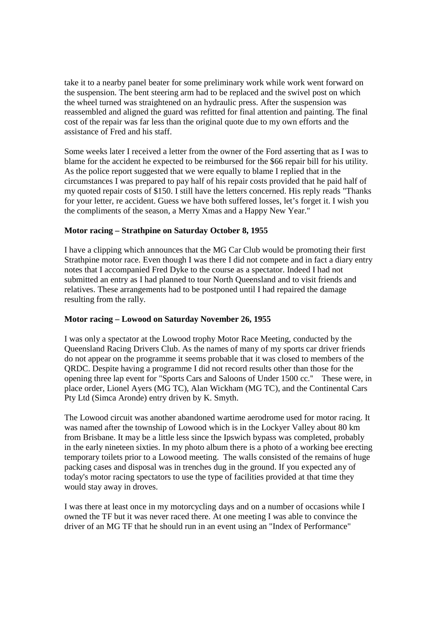take it to a nearby panel beater for some preliminary work while work went forward on the suspension. The bent steering arm had to be replaced and the swivel post on which the wheel turned was straightened on an hydraulic press. After the suspension was reassembled and aligned the guard was refitted for final attention and painting. The final cost of the repair was far less than the original quote due to my own efforts and the assistance of Fred and his staff.

Some weeks later I received a letter from the owner of the Ford asserting that as I was to blame for the accident he expected to be reimbursed for the \$66 repair bill for his utility. As the police report suggested that we were equally to blame I replied that in the circumstances I was prepared to pay half of his repair costs provided that he paid half of my quoted repair costs of \$150. I still have the letters concerned. His reply reads "Thanks for your letter, re accident. Guess we have both suffered losses, let's forget it. I wish you the compliments of the season, a Merry Xmas and a Happy New Year.''

# **Motor racing – Strathpine on Saturday October 8, 1955**

I have a clipping which announces that the MG Car Club would be promoting their first Strathpine motor race. Even though I was there I did not compete and in fact a diary entry notes that I accompanied Fred Dyke to the course as a spectator. Indeed I had not submitted an entry as I had planned to tour North Queensland and to visit friends and relatives. These arrangements had to be postponed until I had repaired the damage resulting from the rally.

# **Motor racing – Lowood on Saturday November 26, 1955**

I was only a spectator at the Lowood trophy Motor Race Meeting, conducted by the Queensland Racing Drivers Club. As the names of many of my sports car driver friends do not appear on the programme it seems probable that it was closed to members of the QRDC. Despite having a programme I did not record results other than those for the opening three lap event for "Sports Cars and Saloons of Under 1500 cc.'' These were, in place order, Lionel Ayers (MG TC), Alan Wickham (MG TC), and the Continental Cars Pty Ltd (Simca Aronde) entry driven by K. Smyth.

The Lowood circuit was another abandoned wartime aerodrome used for motor racing. It was named after the township of Lowood which is in the Lockyer Valley about 80 km from Brisbane. It may be a little less since the Ipswich bypass was completed, probably in the early nineteen sixties. In my photo album there is a photo of a working bee erecting temporary toilets prior to a Lowood meeting. The walls consisted of the remains of huge packing cases and disposal was in trenches dug in the ground. If you expected any of today's motor racing spectators to use the type of facilities provided at that time they would stay away in droves.

I was there at least once in my motorcycling days and on a number of occasions while I owned the TF but it was never raced there. At one meeting I was able to convince the driver of an MG TF that he should run in an event using an "Index of Performance"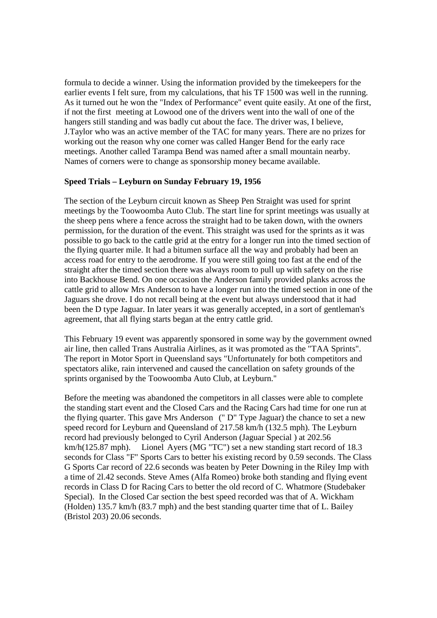formula to decide a winner. Using the information provided by the timekeepers for the earlier events I felt sure, from my calculations, that his TF 1500 was well in the running. As it turned out he won the "Index of Performance" event quite easily. At one of the first, if not the first meeting at Lowood one of the drivers went into the wall of one of the hangers still standing and was badly cut about the face. The driver was, I believe, J.Taylor who was an active member of the TAC for many years. There are no prizes for working out the reason why one corner was called Hanger Bend for the early race meetings. Another called Tarampa Bend was named after a small mountain nearby. Names of corners were to change as sponsorship money became available.

### **Speed Trials – Leyburn on Sunday February 19, 1956**

The section of the Leyburn circuit known as Sheep Pen Straight was used for sprint meetings by the Toowoomba Auto Club. The start line for sprint meetings was usually at the sheep pens where a fence across the straight had to be taken down, with the owners permission, for the duration of the event. This straight was used for the sprints as it was possible to go back to the cattle grid at the entry for a longer run into the timed section of the flying quarter mile. It had a bitumen surface all the way and probably had been an access road for entry to the aerodrome. If you were still going too fast at the end of the straight after the timed section there was always room to pull up with safety on the rise into Backhouse Bend. On one occasion the Anderson family provided planks across the cattle grid to allow Mrs Anderson to have a longer run into the timed section in one of the Jaguars she drove. I do not recall being at the event but always understood that it had been the D type Jaguar. In later years it was generally accepted, in a sort of gentleman's agreement, that all flying starts began at the entry cattle grid.

This February 19 event was apparently sponsored in some way by the government owned air line, then called Trans Australia Airlines, as it was promoted as the "TAA Sprints". The report in Motor Sport in Queensland says "Unfortunately for both competitors and spectators alike, rain intervened and caused the cancellation on safety grounds of the sprints organised by the Toowoomba Auto Club, at Leyburn.''

Before the meeting was abandoned the competitors in all classes were able to complete the standing start event and the Closed Cars and the Racing Cars had time for one run at the flying quarter. This gave Mrs Anderson (" D" Type Jaguar) the chance to set a new speed record for Leyburn and Queensland of 217.58 km/h (132.5 mph). The Leyburn record had previously belonged to Cyril Anderson (Jaguar Special ) at 202.56 km/h(125.87 mph). Lionel Ayers (MG "TC") set a new standing start record of 18.3 seconds for Class "F" Sports Cars to better his existing record by 0.59 seconds. The Class G Sports Car record of 22.6 seconds was beaten by Peter Downing in the Riley Imp with a time of 2l.42 seconds. Steve Ames (Alfa Romeo) broke both standing and flying event records in Class D for Racing Cars to better the old record of C. Whatmore (Studebaker Special). In the Closed Car section the best speed recorded was that of A. Wickham (Holden) 135.7 km/h (83.7 mph) and the best standing quarter time that of L. Bailey (Bristol 203) 20.06 seconds.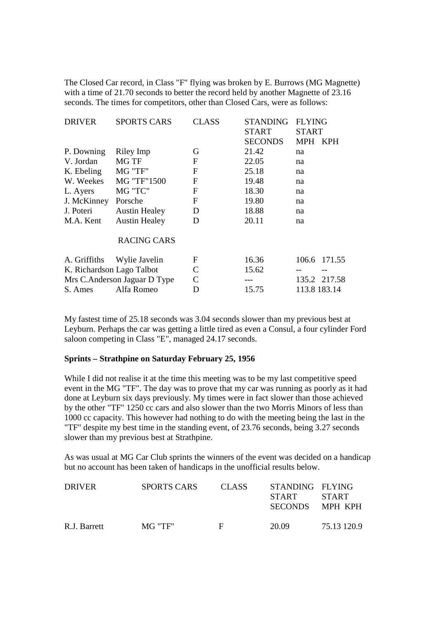The Closed Car record, in Class "F" flying was broken by E. Burrows (MG Magnette) with a time of 21.70 seconds to better the record held by another Magnette of 23.16 seconds. The times for competitors, other than Closed Cars, were as follows:

| <b>DRIVER</b>                | <b>SPORTS CARS</b>   | <b>CLASS</b> | <b>STANDING</b> | <b>FLYING</b>            |
|------------------------------|----------------------|--------------|-----------------|--------------------------|
|                              |                      |              | <b>START</b>    | <b>START</b>             |
|                              |                      |              | <b>SECONDS</b>  | <b>MPH</b><br><b>KPH</b> |
| P. Downing                   | Riley Imp            | G            | 21.42           | na                       |
| V. Jordan                    | <b>MG TF</b>         | $\mathbf F$  | 22.05           | na                       |
| K. Ebeling                   | MG "TF"              | $\mathbf{F}$ | 25.18           | na                       |
| W. Weekes                    | MG "TF"1500          | $\mathbf F$  | 19.48           | na                       |
| L. Ayers                     | MG "TC"              | $\mathbf{F}$ | 18.30           | na                       |
| J. McKinney                  | Porsche              | $\mathbf F$  | 19.80           | na                       |
| J. Poteri                    | <b>Austin Healey</b> | D            | 18.88           | na                       |
| M.A. Kent                    | <b>Austin Healey</b> | D            | 20.11           | na                       |
|                              | <b>RACING CARS</b>   |              |                 |                          |
| A. Griffiths                 | Wylie Javelin        | $\mathbf F$  | 16.36           | 106.6 171.55             |
| K. Richardson Lago Talbot    |                      | $\mathsf{C}$ | 15.62           |                          |
| Mrs C.Anderson Jaguar D Type |                      | $\mathsf{C}$ | ---             | 135.2 217.58             |
| S. Ames                      | Alfa Romeo           | D            | 15.75           | 113.8 183.14             |

My fastest time of 25.18 seconds was 3.04 seconds slower than my previous best at Leyburn. Perhaps the car was getting a little tired as even a Consul, a four cylinder Ford saloon competing in Class "E", managed 24.17 seconds.

### **Sprints – Strathpine on Saturday February 25, 1956**

While I did not realise it at the time this meeting was to be my last competitive speed event in the MG "TF". The day was to prove that my car was running as poorly as it had done at Leyburn six days previously. My times were in fact slower than those achieved by the other "TF" 1250 cc cars and also slower than the two Morris Minors of less than 1000 cc capacity. This however had nothing to do with the meeting being the last in the "TF" despite my best time in the standing event, of 23.76 seconds, being 3.27 seconds slower than my previous best at Strathpine.

As was usual at MG Car Club sprints the winners of the event was decided on a handicap but no account has been taken of handicaps in the unofficial results below.

| <b>DRIVER</b> | SPORTS CARS | <b>CLASS</b> | STANDING FLYING<br><b>START</b><br><b>SECONDS</b> | <b>START</b><br>MPH KPH |
|---------------|-------------|--------------|---------------------------------------------------|-------------------------|
| R.J. Barrett  | MG "TF"     | E            | 20.09                                             | 75.13 120.9             |